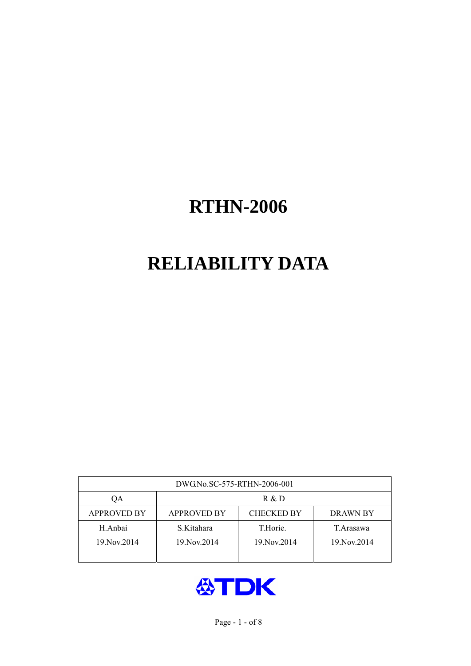# **RELIABILITY DATA**

| DWG.No.SC-575-RTHN-2006-001 |                                                     |               |               |  |  |  |  |
|-----------------------------|-----------------------------------------------------|---------------|---------------|--|--|--|--|
| OА                          | R & D                                               |               |               |  |  |  |  |
| <b>APPROVED BY</b>          | <b>CHECKED BY</b><br><b>APPROVED BY</b><br>DRAWN BY |               |               |  |  |  |  |
| H.Anbai                     | S.Kitahara                                          | T.Horie.      | T.Arasawa     |  |  |  |  |
| 19. Nov. 2014               | 19. Nov. 2014                                       | 19. Nov. 2014 | 19. Nov. 2014 |  |  |  |  |
|                             |                                                     |               |               |  |  |  |  |

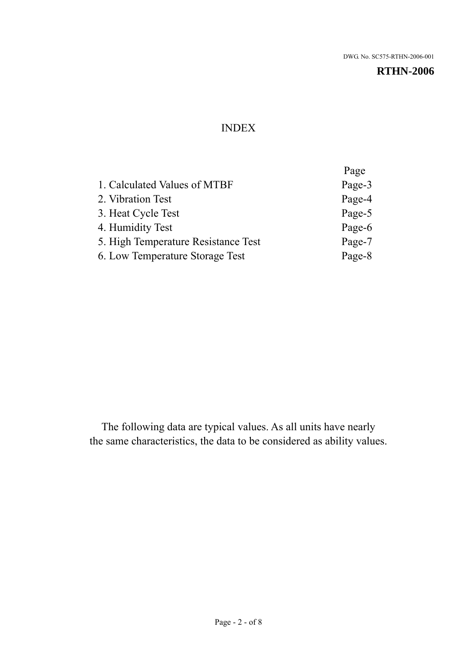#### INDEX

|                                     | Page   |
|-------------------------------------|--------|
| 1. Calculated Values of MTBF        | Page-3 |
| 2. Vibration Test                   | Page-4 |
| 3. Heat Cycle Test                  | Page-5 |
| 4. Humidity Test                    | Page-6 |
| 5. High Temperature Resistance Test | Page-7 |
| 6. Low Temperature Storage Test     | Page-8 |
|                                     |        |

The following data are typical values. As all units have nearly the same characteristics, the data to be considered as ability values.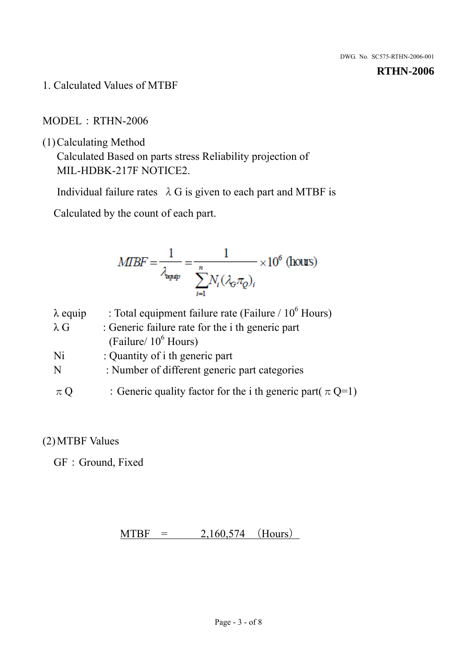1. Calculated Values of MTBF

#### MODEL:RTHN-2006

(1)Calculating Method

Calculated Based on parts stress Reliability projection of MIL-HDBK-217F NOTICE2.

Individual failure rates  $\lambda$  G is given to each part and MTBF is

Calculated by the count of each part.

$$
MBF = \frac{1}{\lambda_{\text{expip}}} = \frac{1}{\sum_{i=1}^{n} N_i (\lambda_{\text{G}} \pi_Q)_i} \times 10^6 \text{ (hours)}
$$

| $\lambda$ equip | : Total equipment failure rate (Failure $/ 10^6$ Hours)        |
|-----------------|----------------------------------------------------------------|
| $\lambda$ G     | : Generic failure rate for the <i>i</i> th generic part        |
|                 | (Failure/ $10^6$ Hours)                                        |
| Ni              | : Quantity of i th generic part                                |
| N               | : Number of different generic part categories                  |
| $\pi$ Q         | : Generic quality factor for the i th generic part( $\pi$ Q=1) |

## (2)MTBF Values

GF: Ground, Fixed

 $MTBF = 2,160,574$  (Hours)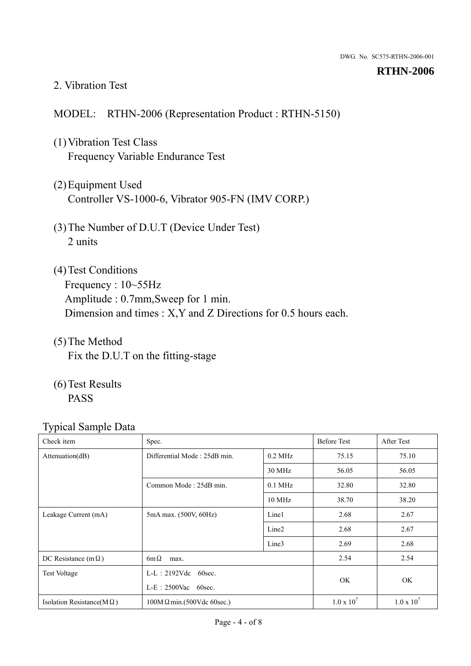#### 2. Vibration Test

#### MODEL: RTHN-2006 (Representation Product : RTHN-5150)

- (1)Vibration Test Class Frequency Variable Endurance Test
- (2)Equipment Used Controller VS-1000-6, Vibrator 905-FN (IMV CORP.)
- (3)The Number of D.U.T (Device Under Test) 2 units
- (4)Test Conditions Frequency : 10~55Hz Amplitude : 0.7mm,Sweep for 1 min. Dimension and times : X,Y and Z Directions for 0.5 hours each.
- (5)The Method Fix the D.U.T on the fitting-stage
- (6)Test Results PASS

| Check item                        | Spec.                            |                   | <b>Before Test</b> | After Test        |
|-----------------------------------|----------------------------------|-------------------|--------------------|-------------------|
| Attenuation(dB)                   | Differential Mode: 25dB min.     | $0.2$ MHz         | 75.15              | 75.10             |
|                                   |                                  | 30 MHz            | 56.05              | 56.05             |
|                                   | Common Mode: 25dB min.           | $0.1$ MHz         | 32.80              | 32.80             |
|                                   |                                  | 10 MHz            | 38.70              | 38.20             |
| Leakage Current (mA)              | 5mA max. (500V, 60Hz)            | Line1             | 2.68               | 2.67              |
|                                   |                                  | Line <sub>2</sub> | 2.68               | 2.67              |
|                                   |                                  | Line3             | 2.69               | 2.68              |
| DC Resistance (m $\Omega$ )       | $6m\Omega$<br>max.               |                   |                    | 2.54              |
| <b>Test Voltage</b>               | $L-L: 2192Vdc$ 60sec.            |                   |                    |                   |
|                                   | $L-E$ : 2500Vac 60sec.           |                   | OK.                | OK                |
| Isolation Resistance( $M\Omega$ ) | $100M\Omega$ min.(500Vdc 60sec.) |                   | $1.0 \times 10^7$  | $1.0 \times 10^7$ |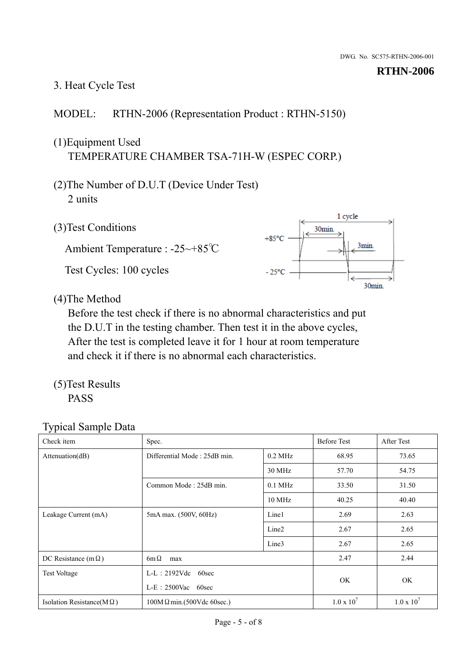# 3. Heat Cycle Test

## MODEL: RTHN-2006 (Representation Product : RTHN-5150)

# (1)Equipment Used TEMPERATURE CHAMBER TSA-71H-W (ESPEC CORP.)

- (2)The Number of D.U.T (Device Under Test) 2 units
- (3)Test Conditions

Ambient Temperature : -25~+85℃ Test Cycles: 100 cycles



(4)The Method

Before the test check if there is no abnormal characteristics and put the D.U.T in the testing chamber. Then test it in the above cycles, After the test is completed leave it for 1 hour at room temperature and check it if there is no abnormal each characteristics.

(5)Test Results PASS

| - -<br>Check item                 | Spec.                                          |                   | <b>Before Test</b> | After Test        |
|-----------------------------------|------------------------------------------------|-------------------|--------------------|-------------------|
| Attenuation(dB)                   | Differential Mode: 25dB min.                   | $0.2$ MHz         | 68.95              | 73.65             |
|                                   |                                                | 30 MHz            | 57.70              | 54.75             |
|                                   | Common Mode: 25dB min.                         | $0.1$ MHz         | 33.50              | 31.50             |
|                                   |                                                | $10$ MHz          | 40.25              | 40.40             |
| Leakage Current (mA)              | 5mA max. (500V, 60Hz)                          | Line1             | 2.69               | 2.63              |
|                                   |                                                | Line <sub>2</sub> | 2.67               | 2.65              |
|                                   |                                                | Line3             | 2.67               | 2.65              |
| DC Resistance (m $\Omega$ )       | $6m\Omega$<br>max                              |                   |                    | 2.44              |
| <b>Test Voltage</b>               | $L-L$ : 2192Vdc 60sec<br>$L-E$ : 2500Vac 60sec |                   |                    |                   |
|                                   |                                                |                   | OK.                | OK                |
| Isolation Resistance(M $\Omega$ ) | $100M\Omega$ min.(500Vdc 60sec.)               |                   | $1.0 \times 10^7$  | $1.0 \times 10^7$ |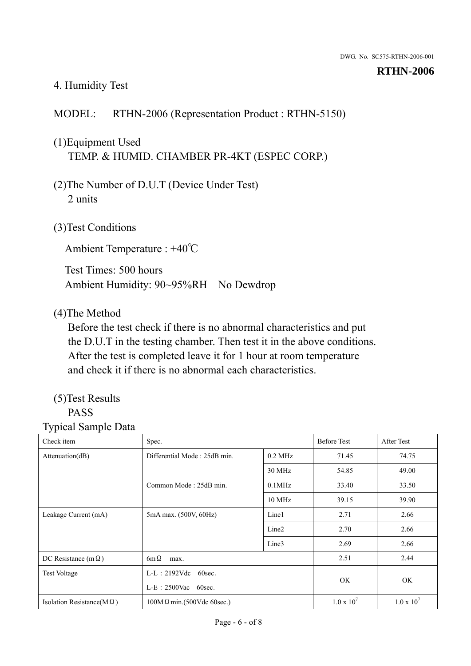#### 4. Humidity Test

### MODEL: RTHN-2006 (Representation Product : RTHN-5150)

# (1)Equipment Used TEMP. & HUMID. CHAMBER PR-4KT (ESPEC CORP.)

- (2)The Number of D.U.T (Device Under Test) 2 units
- (3)Test Conditions

Ambient Temperature : +40℃

Test Times: 500 hours Ambient Humidity: 90~95%RH No Dewdrop

#### (4)The Method

Before the test check if there is no abnormal characteristics and put the D.U.T in the testing chamber. Then test it in the above conditions. After the test is completed leave it for 1 hour at room temperature and check it if there is no abnormal each characteristics.

#### (5)Test Results PASS

| Check item                        | Spec.                            |                        | <b>Before Test</b> | <b>After Test</b> |
|-----------------------------------|----------------------------------|------------------------|--------------------|-------------------|
| Attenuation(dB)                   | Differential Mode: 25dB min.     | $0.2$ MHz              | 71.45              | 74.75             |
|                                   |                                  | 30 MHz                 | 54.85              | 49.00             |
|                                   | Common Mode: 25dB min.           | $0.1$ MHz              | 33.40              | 33.50             |
|                                   |                                  | $10$ MHz               | 39.15              | 39.90             |
| Leakage Current (mA)              | 5mA max. (500V, 60Hz)            | Line1                  | 2.71               | 2.66              |
|                                   |                                  | Line <sub>2</sub>      | 2.70               | 2.66              |
|                                   |                                  | Line3                  | 2.69               | 2.66              |
| DC Resistance (m $\Omega$ )       | $6m\Omega$<br>max.               |                        |                    | 2.44              |
| <b>Test Voltage</b>               | $L-L: 2192Vdc$<br>60sec.         | $L-E$ : 2500Vac 60sec. |                    |                   |
|                                   |                                  |                        |                    | <b>OK</b>         |
| Isolation Resistance(M $\Omega$ ) | $100M\Omega$ min.(500Vdc 60sec.) |                        | $1.0 \times 10^7$  | $1.0 \times 10^7$ |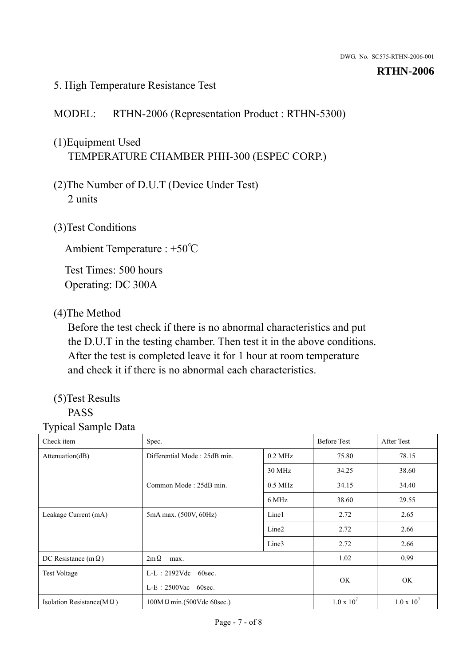#### 5. High Temperature Resistance Test

#### MODEL: RTHN-2006 (Representation Product : RTHN-5300)

# (1)Equipment Used TEMPERATURE CHAMBER PHH-300 (ESPEC CORP.)

- (2)The Number of D.U.T (Device Under Test) 2 units
- (3)Test Conditions

Ambient Temperature : +50℃

Test Times: 500 hours Operating: DC 300A

#### (4)The Method

Before the test check if there is no abnormal characteristics and put the D.U.T in the testing chamber. Then test it in the above conditions. After the test is completed leave it for 1 hour at room temperature and check it if there is no abnormal each characteristics.

#### (5)Test Results PASS

| - -<br>Check item                 | Spec.                                              |                   | <b>Before Test</b> | After Test        |
|-----------------------------------|----------------------------------------------------|-------------------|--------------------|-------------------|
| Attenuation(dB)                   | Differential Mode: 25dB min.                       | $0.2$ MHz         | 75.80              | 78.15             |
|                                   |                                                    | 30 MHz            | 34.25              | 38.60             |
|                                   | Common Mode: 25dB min.                             | $0.5$ MHz         | 34.15              | 34.40             |
|                                   |                                                    | 6 MHz             | 38.60              | 29.55             |
| Leakage Current (mA)              | 5mA max. (500V, 60Hz)                              | Line1             | 2.72               | 2.65              |
|                                   |                                                    | Line <sub>2</sub> | 2.72               | 2.66              |
|                                   |                                                    | Line3             | 2.72               | 2.66              |
| DC Resistance (m $\Omega$ )       | $2m\Omega$<br>max.                                 |                   | 1.02               | 0.99              |
| <b>Test Voltage</b>               | $L-L: 2192Vdc$<br>60sec.<br>$L-E$ : 2500Vac 60sec. |                   |                    |                   |
|                                   |                                                    |                   | OK.                | OK                |
| Isolation Resistance( $M\Omega$ ) | $100M\Omega$ min.(500Vdc 60sec.)                   |                   | $1.0 \times 10^7$  | $1.0 \times 10^7$ |